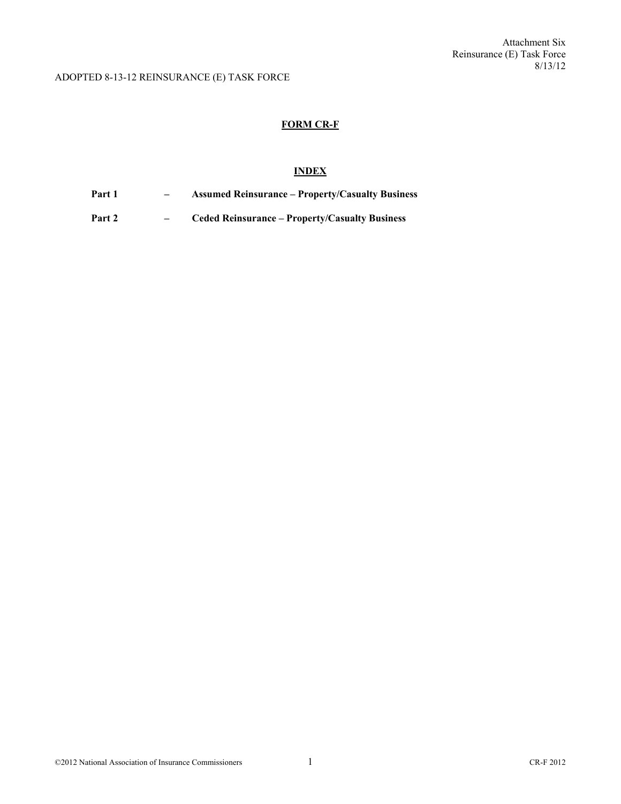## **FORM CR-F**

# **INDEX**

**Part 1 – Assumed Reinsurance – Property/Casualty Business** 

**Part 2 – Ceded Reinsurance – Property/Casualty Business**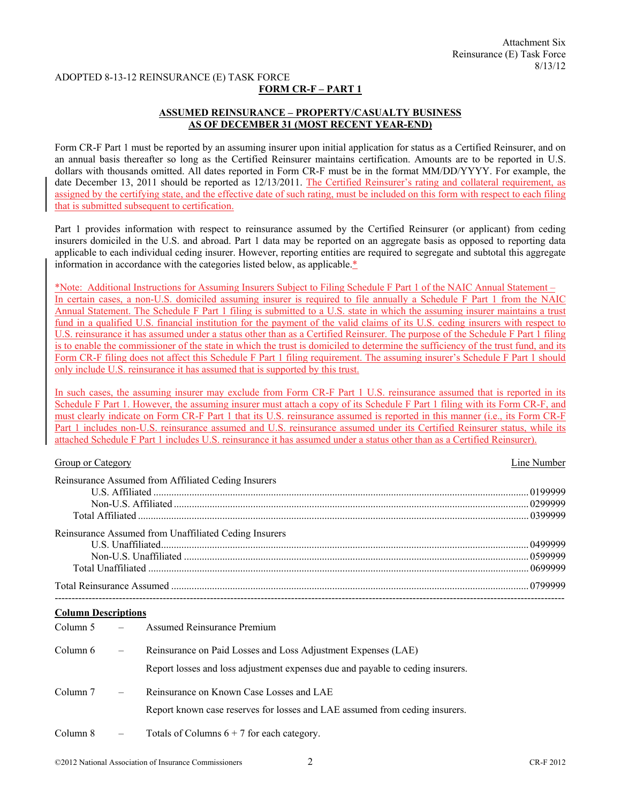### **FORM CR-F – PART 1**

## **ASSUMED REINSURANCE – PROPERTY/CASUALTY BUSINESS AS OF DECEMBER 31 (MOST RECENT YEAR-END)**

Form CR-F Part 1 must be reported by an assuming insurer upon initial application for status as a Certified Reinsurer, and on an annual basis thereafter so long as the Certified Reinsurer maintains certification. Amounts are to be reported in U.S. dollars with thousands omitted. All dates reported in Form CR-F must be in the format MM/DD/YYYY. For example, the date December 13, 2011 should be reported as 12/13/2011. The Certified Reinsurer's rating and collateral requirement, as assigned by the certifying state, and the effective date of such rating, must be included on this form with respect to each filing that is submitted subsequent to certification.

Part 1 provides information with respect to reinsurance assumed by the Certified Reinsurer (or applicant) from ceding insurers domiciled in the U.S. and abroad. Part 1 data may be reported on an aggregate basis as opposed to reporting data applicable to each individual ceding insurer. However, reporting entities are required to segregate and subtotal this aggregate information in accordance with the categories listed below, as applicable.\*

\*Note: Additional Instructions for Assuming Insurers Subject to Filing Schedule F Part 1 of the NAIC Annual Statement – In certain cases, a non-U.S. domiciled assuming insurer is required to file annually a Schedule F Part 1 from the NAIC Annual Statement. The Schedule F Part 1 filing is submitted to a U.S. state in which the assuming insurer maintains a trust fund in a qualified U.S. financial institution for the payment of the valid claims of its U.S. ceding insurers with respect to U.S. reinsurance it has assumed under a status other than as a Certified Reinsurer. The purpose of the Schedule F Part 1 filing is to enable the commissioner of the state in which the trust is domiciled to determine the sufficiency of the trust fund, and its Form CR-F filing does not affect this Schedule F Part 1 filing requirement. The assuming insurer's Schedule F Part 1 should only include U.S. reinsurance it has assumed that is supported by this trust.

In such cases, the assuming insurer may exclude from Form CR-F Part 1 U.S. reinsurance assumed that is reported in its Schedule F Part 1. However, the assuming insurer must attach a copy of its Schedule F Part 1 filing with its Form CR-F, and must clearly indicate on Form CR-F Part 1 that its U.S. reinsurance assumed is reported in this manner (i.e., its Form CR-F Part 1 includes non-U.S. reinsurance assumed and U.S. reinsurance assumed under its Certified Reinsurer status, while its attached Schedule F Part 1 includes U.S. reinsurance it has assumed under a status other than as a Certified Reinsurer).

#### Group or Category Line Number

| Reinsurance Assumed from Affiliated Ceding Insurers   |  |
|-------------------------------------------------------|--|
|                                                       |  |
|                                                       |  |
|                                                       |  |
| Reinsurance Assumed from Unaffiliated Ceding Insurers |  |
|                                                       |  |
|                                                       |  |
|                                                       |  |
|                                                       |  |

#### **Column Descriptions**

| Column $5 -$ |               | <b>Assumed Reinsurance Premium</b>                                                                                                              |
|--------------|---------------|-------------------------------------------------------------------------------------------------------------------------------------------------|
| Column 6     | $\frac{1}{2}$ | Reinsurance on Paid Losses and Loss Adjustment Expenses (LAE)<br>Report losses and loss adjustment expenses due and payable to ceding insurers. |
| Column 7     | $\frac{1}{2}$ | Reinsurance on Known Case Losses and LAE<br>Report known case reserves for losses and LAE assumed from ceding insurers.                         |
| Column 8     |               | Totals of Columns $6 + 7$ for each category.                                                                                                    |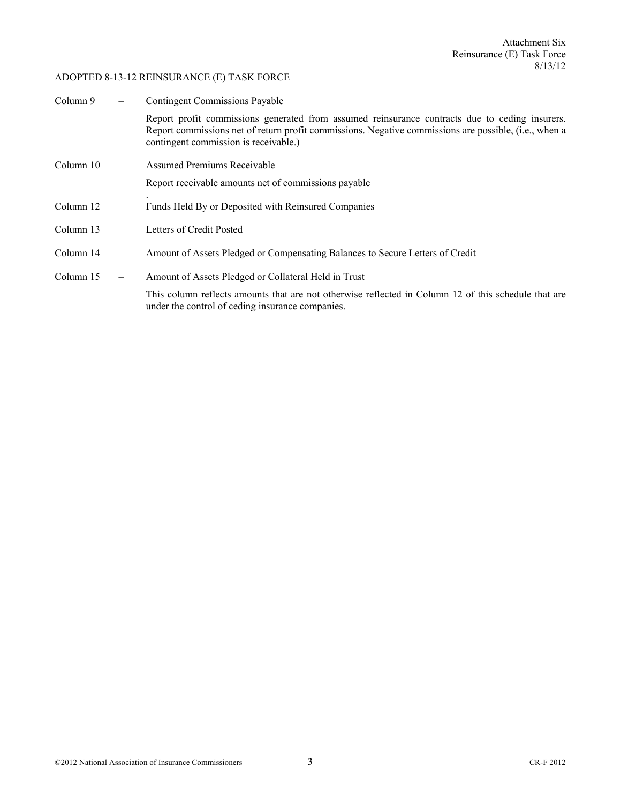| Column 9  | <b>Contingent Commissions Payable</b> |                                                                                                                                                                                                                                                  |
|-----------|---------------------------------------|--------------------------------------------------------------------------------------------------------------------------------------------------------------------------------------------------------------------------------------------------|
|           |                                       | Report profit commissions generated from assumed reinsurance contracts due to ceding insurers.<br>Report commissions net of return profit commissions. Negative commissions are possible, (i.e., when a<br>contingent commission is receivable.) |
| Column 10 |                                       | <b>Assumed Premiums Receivable</b>                                                                                                                                                                                                               |
|           |                                       | Report receivable amounts net of commissions payable                                                                                                                                                                                             |
| Column 12 | $\overline{\phantom{m}}$              | Funds Held By or Deposited with Reinsured Companies                                                                                                                                                                                              |
| Column 13 |                                       | Letters of Credit Posted                                                                                                                                                                                                                         |
| Column 14 |                                       | Amount of Assets Pledged or Compensating Balances to Secure Letters of Credit                                                                                                                                                                    |
| Column 15 | $\overline{\phantom{m}}$              | Amount of Assets Pledged or Collateral Held in Trust                                                                                                                                                                                             |
|           |                                       | This column reflects amounts that are not otherwise reflected in Column 12 of this schedule that are<br>under the control of ceding insurance companies.                                                                                         |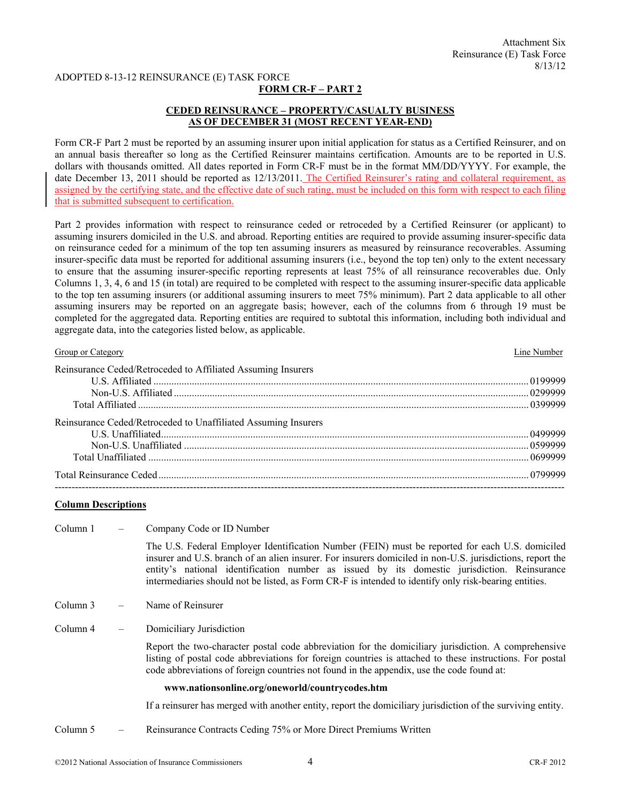### **FORM CR-F – PART 2**

# **CEDED REINSURANCE – PROPERTY/CASUALTY BUSINESS AS OF DECEMBER 31 (MOST RECENT YEAR-END)**

Form CR-F Part 2 must be reported by an assuming insurer upon initial application for status as a Certified Reinsurer, and on an annual basis thereafter so long as the Certified Reinsurer maintains certification. Amounts are to be reported in U.S. dollars with thousands omitted. All dates reported in Form CR-F must be in the format MM/DD/YYYY. For example, the date December 13, 2011 should be reported as 12/13/2011. The Certified Reinsurer's rating and collateral requirement, as assigned by the certifying state, and the effective date of such rating, must be included on this form with respect to each filing that is submitted subsequent to certification.

Part 2 provides information with respect to reinsurance ceded or retroceded by a Certified Reinsurer (or applicant) to assuming insurers domiciled in the U.S. and abroad. Reporting entities are required to provide assuming insurer-specific data on reinsurance ceded for a minimum of the top ten assuming insurers as measured by reinsurance recoverables. Assuming insurer-specific data must be reported for additional assuming insurers (i.e., beyond the top ten) only to the extent necessary to ensure that the assuming insurer-specific reporting represents at least 75% of all reinsurance recoverables due. Only Columns 1, 3, 4, 6 and 15 (in total) are required to be completed with respect to the assuming insurer-specific data applicable to the top ten assuming insurers (or additional assuming insurers to meet 75% minimum). Part 2 data applicable to all other assuming insurers may be reported on an aggregate basis; however, each of the columns from 6 through 19 must be completed for the aggregated data. Reporting entities are required to subtotal this information, including both individual and aggregate data, into the categories listed below, as applicable.

| Group or Category                                              | Line Number |
|----------------------------------------------------------------|-------------|
| Reinsurance Ceded/Retroceded to Affiliated Assuming Insurers   |             |
|                                                                |             |
|                                                                |             |
|                                                                |             |
| Reinsurance Ceded/Retroceded to Unaffiliated Assuming Insurers |             |
|                                                                |             |
|                                                                |             |
|                                                                |             |
|                                                                |             |
|                                                                |             |

### **Column Descriptions**

| Column 1 |                          | Company Code or ID Number                                                                                                                                                                                                                                                                                                                                                                                            |
|----------|--------------------------|----------------------------------------------------------------------------------------------------------------------------------------------------------------------------------------------------------------------------------------------------------------------------------------------------------------------------------------------------------------------------------------------------------------------|
|          |                          | The U.S. Federal Employer Identification Number (FEIN) must be reported for each U.S. domiciled<br>insurer and U.S. branch of an alien insurer. For insurers domiciled in non-U.S. jurisdictions, report the<br>entity's national identification number as issued by its domestic jurisdiction. Reinsurance<br>intermediaries should not be listed, as Form CR-F is intended to identify only risk-bearing entities. |
| Column 3 |                          | Name of Reinsurer                                                                                                                                                                                                                                                                                                                                                                                                    |
| Column 4 | $\overline{\phantom{m}}$ | Domiciliary Jurisdiction                                                                                                                                                                                                                                                                                                                                                                                             |
|          |                          | Report the two-character postal code abbreviation for the domiciliary jurisdiction. A comprehensive<br>listing of postal code abbreviations for foreign countries is attached to these instructions. For postal<br>code abbreviations of foreign countries not found in the appendix, use the code found at:                                                                                                         |
|          |                          | www.nationsonline.org/oneworld/countrycodes.htm                                                                                                                                                                                                                                                                                                                                                                      |
|          |                          | If a reinsurer has merged with another entity, report the domiciliary jurisdiction of the surviving entity.                                                                                                                                                                                                                                                                                                          |
| Column 5 |                          | Reinsurance Contracts Ceding 75% or More Direct Premiums Written                                                                                                                                                                                                                                                                                                                                                     |